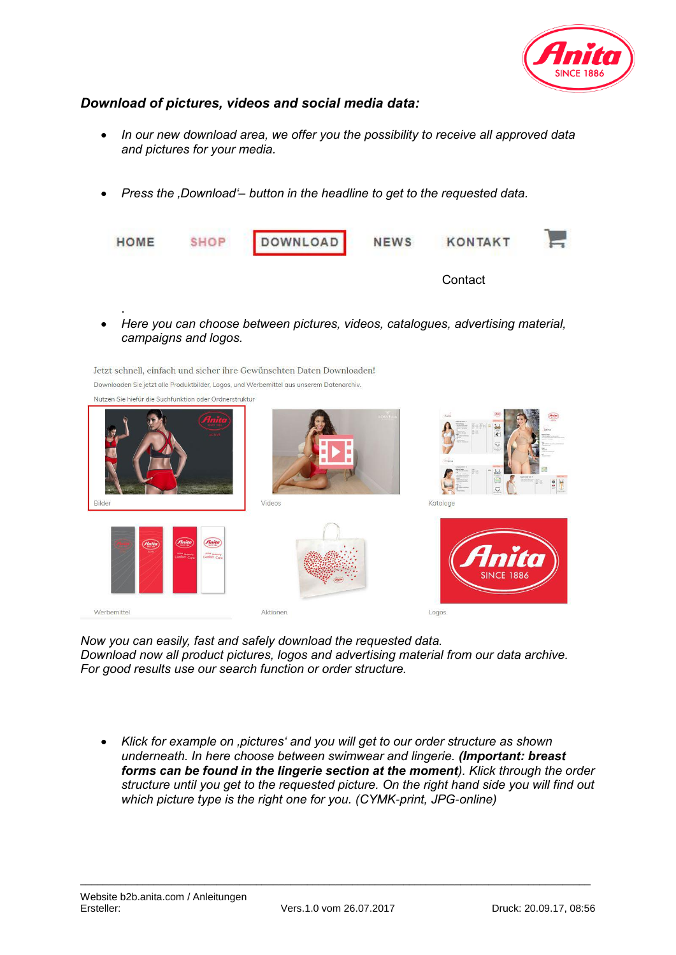

## *Download of pictures, videos and social media data:*

Jetzt schnell, einfach und sicher ihre Gewünschten Daten Downloaden!

- *In our new download area, we offer you the possibility to receive all approved data and pictures for your media.*
- *Press the 'Download'– button in the headline to get to the requested data.*

| HOME | SHOP | DOWNLOAD | <b>NEWS</b> | <b>KONTAKT</b> |  |
|------|------|----------|-------------|----------------|--|
|      |      |          |             | Contact        |  |

 *Here you can choose between pictures, videos, catalogues, advertising material, campaigns and logos.* 

Downloaden Sie jetzt alle Produktbilder, Logos, und Werbemittel aus unserem Datenarchiv. Nutzen Sie hiefür die Suchfunktion oder Ordnerstruktur Vidoor Kataloo Werbemittel Aktionen Logos

*Now you can easily, fast and safely download the requested data. Download now all product pictures, logos and advertising material from our data archive. For good results use our search function or order structure.*

 *Klick for example on 'pictures' and you will get to our order structure as shown underneath. In here choose between swimwear and lingerie. (Important: breast forms can be found in the lingerie section at the moment). Klick through the order structure until you get to the requested picture. On the right hand side you will find out which picture type is the right one for you. (CYMK-print, JPG-online)* 

.

\_\_\_\_\_\_\_\_\_\_\_\_\_\_\_\_\_\_\_\_\_\_\_\_\_\_\_\_\_\_\_\_\_\_\_\_\_\_\_\_\_\_\_\_\_\_\_\_\_\_\_\_\_\_\_\_\_\_\_\_\_\_\_\_\_\_\_\_\_\_\_\_\_\_\_\_\_\_\_\_\_\_\_\_\_\_\_\_\_\_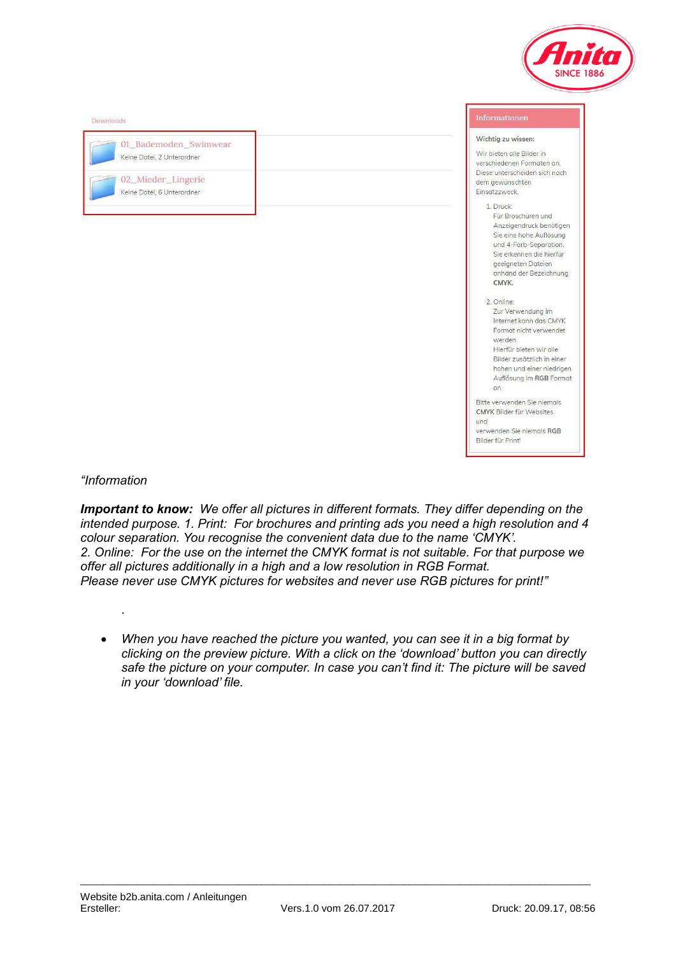

| Downloads                                                                                               | Informationen                                                                                                                                                                                                                                                                                                                                    |
|---------------------------------------------------------------------------------------------------------|--------------------------------------------------------------------------------------------------------------------------------------------------------------------------------------------------------------------------------------------------------------------------------------------------------------------------------------------------|
| 01_Bademoden_Swimwear<br>Keine Datei, 2 Unterordner<br>02_Mieder_Lingerie<br>Keine Datei, 6 Unterordner | Wichtig zu wissen:<br>Wir bieten alle Bilder in<br>verschiedenen Formaten an.<br>Diese unterscheiden sich nach<br>dem gewünschten<br>Einsatzzweck.<br>1 Druck:<br>Für Broschüren und<br>Anzeigendruck benötigen<br>Sie eine hohe Auflösung<br>und 4-Farb-Separation.<br>Sie erkennen die hierfür<br>geeigneten Dateien<br>anhand der Bezeichnung |
|                                                                                                         | CMYK.<br>2. Online:<br>Zur Verwendung im<br>Internet kann das CMYK<br>Format nicht verwendet<br>werden.<br>Hierfür bieten wir alle<br>Bilder zusätzlich in einer<br>hohen und einer niedrigen<br>Auflösung im RGB Format<br>an.<br>Bitte verwenden Sie niemals<br><b>CMYK Bilder für Websites</b>                                                |
|                                                                                                         | und<br>verwenden Sie niemals RGB<br>Bilder für Print!                                                                                                                                                                                                                                                                                            |

## *"Information*

.

*Important to know: We offer all pictures in different formats. They differ depending on the intended purpose. 1. Print: For brochures and printing ads you need a high resolution and 4 colour separation. You recognise the convenient data due to the name 'CMYK'. 2. Online: For the use on the internet the CMYK format is not suitable. For that purpose we offer all pictures additionally in a high and a low resolution in RGB Format. Please never use CMYK pictures for websites and never use RGB pictures for print!"* 

 *When you have reached the picture you wanted, you can see it in a big format by clicking on the preview picture. With a click on the 'download' button you can directly safe the picture on your computer. In case you can't find it: The picture will be saved in your 'download' file.* 

\_\_\_\_\_\_\_\_\_\_\_\_\_\_\_\_\_\_\_\_\_\_\_\_\_\_\_\_\_\_\_\_\_\_\_\_\_\_\_\_\_\_\_\_\_\_\_\_\_\_\_\_\_\_\_\_\_\_\_\_\_\_\_\_\_\_\_\_\_\_\_\_\_\_\_\_\_\_\_\_\_\_\_\_\_\_\_\_\_\_